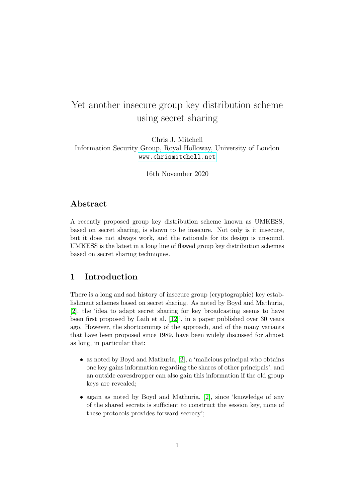# Yet another insecure group key distribution scheme using secret sharing

### Chris J. Mitchell Information Security Group, Royal Holloway, University of London <www.chrismitchell.net>

16th November 2020

### Abstract

A recently proposed group key distribution scheme known as UMKESS, based on secret sharing, is shown to be insecure. Not only is it insecure, but it does not always work, and the rationale for its design is unsound. UMKESS is the latest in a long line of flawed group key distribution schemes based on secret sharing techniques.

### <span id="page-0-0"></span>1 Introduction

There is a long and sad history of insecure group (cryptographic) key establishment schemes based on secret sharing. As noted by Boyd and Mathuria, [\[2\]](#page-9-0), the 'idea to adapt secret sharing for key broadcasting seems to have been first proposed by Laih et al. [\[12\]](#page-10-0)', in a paper published over 30 years ago. However, the shortcomings of the approach, and of the many variants that have been proposed since 1989, have been widely discussed for almost as long, in particular that:

- $\bullet$  as noted by Boyd and Mathuria, [\[2\]](#page-9-0), a 'malicious principal who obtains one key gains information regarding the shares of other principals', and an outside eavesdropper can also gain this information if the old group keys are revealed;
- again as noted by Boyd and Mathuria, [\[2\]](#page-9-0), since 'knowledge of any of the shared secrets is sufficient to construct the session key, none of these protocols provides forward secrecy';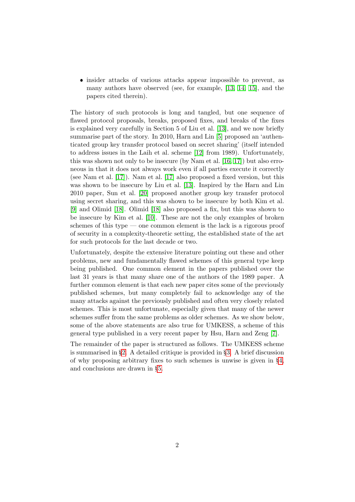insider attacks of various attacks appear impossible to prevent, as many authors have observed (see, for example, [\[13,](#page-10-1) [14,](#page-10-2) [15\]](#page-10-3), and the papers cited therein).

The history of such protocols is long and tangled, but one sequence of flawed protocol proposals, breaks, proposed fixes, and breaks of the fixes is explained very carefully in Section 5 of Liu et al. [\[13\]](#page-10-1), and we now briefly summarise part of the story. In 2010, Harn and Lin [\[5\]](#page-9-1) proposed an 'authenticated group key transfer protocol based on secret sharing' (itself intended to address issues in the Laih et al. scheme [\[12\]](#page-10-0) from 1989). Unfortunately, this was shown not only to be insecure (by Nam et al. [\[16,](#page-10-4) [17\]](#page-11-0)) but also erroneous in that it does not always work even if all parties execute it correctly (see Nam et al. [\[17\]](#page-11-0)). Nam et al. [\[17\]](#page-11-0) also proposed a fixed version, but this was shown to be insecure by Liu et al. [\[13\]](#page-10-1). Inspired by the Harn and Lin 2010 paper, Sun et al. [\[20\]](#page-11-1) proposed another group key transfer protocol using secret sharing, and this was shown to be insecure by both Kim et al. [\[9\]](#page-10-5) and Olimid [\[18\]](#page-11-2). Olimid [\[18\]](#page-11-2) also proposed a fix, but this was shown to be insecure by Kim et al. [\[10\]](#page-10-6). These are not the only examples of broken schemes of this type — one common element is the lack is a rigorous proof of security in a complexity-theoretic setting, the established state of the art for such protocols for the last decade or two.

Unfortunately, despite the extensive literature pointing out these and other problems, new and fundamentally flawed schemes of this general type keep being published. One common element in the papers published over the last 31 years is that many share one of the authors of the 1989 paper. A further common element is that each new paper cites some of the previously published schemes, but many completely fail to acknowledge any of the many attacks against the previously published and often very closely related schemes. This is most unfortunate, especially given that many of the newer schemes suffer from the same problems as older schemes. As we show below, some of the above statements are also true for UMKESS, a scheme of this general type published in a very recent paper by Hsu, Harn and Zeng [\[7\]](#page-9-2).

The remainder of the paper is structured as follows. The UMKESS scheme is summarised in §[2.](#page-2-0) A detailed critique is provided in §[3.](#page-4-0) A brief discussion of why proposing arbitrary fixes to such schemes is unwise is given in §[4,](#page-8-0) and conclusions are drawn in §[5.](#page-8-1)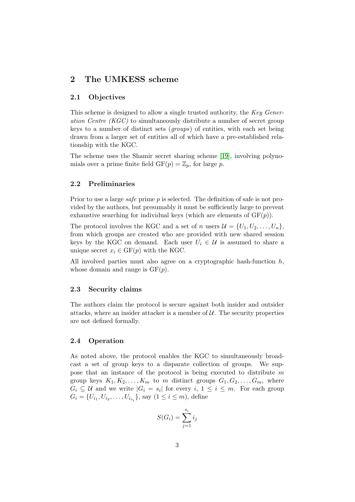# <span id="page-2-0"></span>2 The UMKESS scheme

### 2.1 Objectives

This scheme is designed to allow a single trusted authority, the Key Generation Centre (KGC) to simultaneously distribute a number of secret group keys to a number of distinct sets (groups) of entities, with each set being drawn from a larger set of entities all of which have a pre-established relationship with the KGC.

The scheme uses the Shamir secret sharing scheme [\[19\]](#page-11-3), involving polynomials over a prime finite field  $GF(p) = \mathbb{Z}_p$ , for large p.

### 2.2 Preliminaries

Prior to use a large *safe* prime p is selected. The definition of safe is not provided by the authors, but presumably it must be sufficiently large to prevent exhaustive searching for individual keys (which are elements of  $GF(p)$ ).

The protocol involves the KGC and a set of n users  $\mathcal{U} = \{U_1, U_2, \ldots, U_n\}$ , from which groups are created who are provided with new shared session keys by the KGC on demand. Each user  $U_i \in \mathcal{U}$  is assumed to share a unique secret  $x_i \in \mathrm{GF}(p)$  with the KGC.

All involved parties must also agree on a cryptographic hash-function  $h$ , whose domain and range is  $GF(p)$ .

#### 2.3 Security claims

The authors claim the protocol is secure against both insider and outsider attacks, where an insider attacker is a member of  $U$ . The security properties are not defined formally.

#### <span id="page-2-1"></span>2.4 Operation

As noted above, the protocol enables the KGC to simultaneously broadcast a set of group keys to a disparate collection of groups. We suppose that an instance of the protocol is being executed to distribute m group keys  $K_1, K_2, \ldots, K_m$  to m distinct groups  $G_1, G_2, \ldots, G_m$ , where  $G_i \subseteq \mathcal{U}$  and we write  $|G_i = s_i|$  for every  $i, 1 \leq i \leq m$ . For each group  $G_i = \{U_{i_1}, U_{i_2}, \ldots, U_{i_{s_i}}\}$ , say  $(1 \leq i \leq m)$ , define

$$
S(G_i) = \sum_{j=1}^{s_i} i_j
$$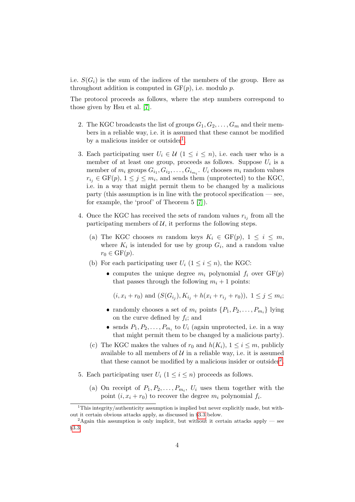i.e.  $S(G_i)$  is the sum of the indices of the members of the group. Here as throughout addition is computed in  $GF(p)$ , i.e. modulo p.

The protocol proceeds as follows, where the step numbers correspond to those given by Hsu et al. [\[7\]](#page-9-2).

- 2. The KGC broadcasts the list of groups  $G_1, G_2, \ldots, G_m$  and their members in a reliable way, i.e. it is assumed that these cannot be modified by a malicious insider or outsider<sup>[1](#page-3-0)</sup>.
- 3. Each participating user  $U_i \in \mathcal{U}$   $(1 \leq i \leq n)$ , i.e. each user who is a member of at least one group, proceeds as follows. Suppose  $U_i$  is a member of  $m_i$  groups  $G_{i_1}, G_{i_2}, \ldots, G_{i_{m_i}}$ .  $U_i$  chooses  $m_i$  random values  $r_{i_j} \in \text{GF}(p), 1 \leq j \leq m_i$ , and sends them (unprotected) to the KGC, i.e. in a way that might permit them to be changed by a malicious  $p$  party (this assumption is in line with the protocol specification  $\sim$  see, for example, the 'proof' of Theorem 5 [\[7\]](#page-9-2)).
- 4. Once the KGC has received the sets of random values  $r_{i_j}$  from all the participating members of  $U$ , it performs the following steps.
	- (a) The KGC chooses m random keys  $K_i \in \text{GF}(p), 1 \leq i \leq m$ , where  $K_i$  is intended for use by group  $G_i$ , and a random value  $r_0 \in \mathrm{GF}(p).$
	- (b) For each participating user  $U_i$   $(1 \leq i \leq n)$ , the KGC:
		- computes the unique degree  $m_i$  polynomial  $f_i$  over  $GF(p)$ that passes through the following  $m_i + 1$  points:

 $(i, x_i + r_0)$  and  $(S(G_{i_j}), K_{i_j} + h(x_i + r_{i_j} + r_0)), 1 \leq j \leq m_i;$ 

- randomly chooses a set of  $m_i$  points  $\{P_1, P_2, \ldots, P_{m_i}\}\$ lying on the curve defined by  $f_i$ ; and
- sends  $P_1, P_2, \ldots, P_{m_i}$  to  $U_i$  (again unprotected, i.e. in a way that might permit them to be changed by a malicious party).
- (c) The KGC makes the values of  $r_0$  and  $h(K_i)$ ,  $1 \leq i \leq m$ , publicly available to all members of  $U$  in a reliable way, i.e. it is assumed that these cannot be modified by a malicious insider or outsider<sup>[2](#page-3-1)</sup>.
- 5. Each participating user  $U_i$   $(1 \leq i \leq n)$  proceeds as follows.
	- (a) On receipt of  $P_1, P_2, \ldots, P_{m_i}, U_i$  uses them together with the point  $(i, x_i + r_0)$  to recover the degree  $m_i$  polynomial  $f_i$ .

<span id="page-3-0"></span><sup>&</sup>lt;sup>1</sup>This integrity/authenticity assumption is implied but never explicitly made, but without it certain obvious attacks apply, as discussed in §[3.3](#page-5-0) below.

<span id="page-3-1"></span><sup>&</sup>lt;sup>2</sup>Again this assumption is only implicit, but without it certain attacks apply — see §[3.3.](#page-5-0)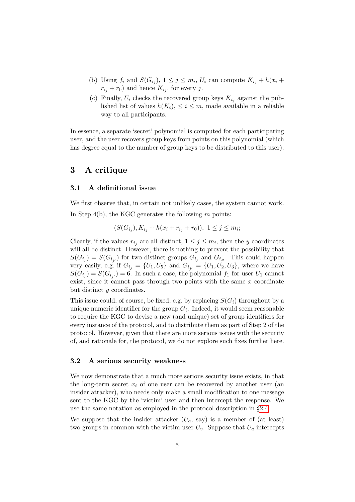- (b) Using  $f_i$  and  $S(G_{i_j}), 1 \leq j \leq m_i, U_i$  can compute  $K_{i_j} + h(x_i +$  $r_{i_j} + r_0$ ) and hence  $K_{i_j}$ , for every j.
- (c) Finally,  $U_i$  checks the recovered group keys  $K_{i_j}$  against the published list of values  $h(K_i), \leq i \leq m$ , made available in a reliable way to all participants.

In essence, a separate 'secret' polynomial is computed for each participating user, and the user recovers group keys from points on this polynomial (which has degree equal to the number of group keys to be distributed to this user).

### <span id="page-4-0"></span>3 A critique

#### 3.1 A definitional issue

We first observe that, in certain not unlikely cases, the system cannot work. In Step  $4(b)$ , the KGC generates the following m points:

$$
(S(G_{i_j}), K_{i_j} + h(x_i + r_{i_j} + r_0)), \ 1 \le j \le m_i;
$$

Clearly, if the values  $r_{i_j}$  are all distinct,  $1 \leq j \leq m_i$ , then the y coordinates will all be distinct. However, there is nothing to prevent the possibility that  $S(G_{i_j}) = S(G_{i_{j'}})$  for two distinct groups  $G_{i_j}$  and  $G_{i_{j'}}$ . This could happen very easily, e.g. if  $G_{i_j} = \{U_1, U_5\}$  and  $G_{i_{j'}} = \{U_1, U_2, U_3\}$ , where we have  $S(G_{i_j}) = S(G_{i_{j'}}) = 6$ . In such a case, the polynomial  $f_1$  for user  $U_1$  cannot exist, since it cannot pass through two points with the same  $x$  coordinate but distinct y coordinates.

This issue could, of course, be fixed, e.g. by replacing  $S(G_i)$  throughout by a unique numeric identifier for the group  $G_i$ . Indeed, it would seem reasonable to require the KGC to devise a new (and unique) set of group identifiers for every instance of the protocol, and to distribute them as part of Step 2 of the protocol. However, given that there are more serious issues with the security of, and rationale for, the protocol, we do not explore such fixes further here.

#### <span id="page-4-1"></span>3.2 A serious security weakness

We now demonstrate that a much more serious security issue exists, in that the long-term secret  $x_i$  of one user can be recovered by another user (an insider attacker), who needs only make a small modification to one message sent to the KGC by the 'victim' user and then intercept the response. We use the same notation as employed in the protocol description in §[2.4.](#page-2-1)

We suppose that the insider attacker  $(U_a, say)$  is a member of (at least) two groups in common with the victim user  $U_v$ . Suppose that  $U_a$  intercepts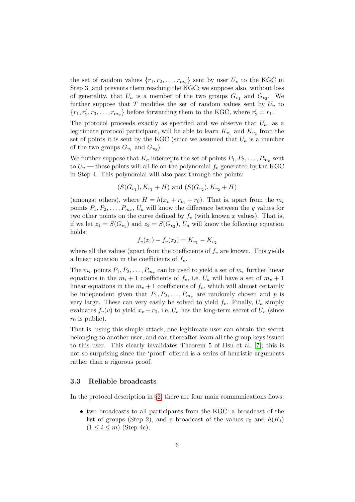the set of random values  $\{r_1, r_2, \ldots, r_{m_v}\}$  sent by user  $U_v$  to the KGC in Step 3, and prevents them reaching the KGC; we suppose also, without loss of generality, that  $U_a$  is a member of the two groups  $G_{v_1}$  and  $G_{v_2}$ . We further suppose that T modifies the set of random values sent by  $U_v$  to  ${r_1, r'_2, r_3, \ldots, r_{m_v}}$  before forwarding them to the KGC, where  $r'_2 = r_1$ .

The protocol proceeds exactly as specified and we observe that  $U_a$ , as a legitimate protocol participant, will be able to learn  $K_{v_1}$  and  $K_{v_2}$  from the set of points it is sent by the KGC (since we assumed that  $U_a$  is a member of the two groups  $G_{v_1}$  and  $G_{v_2}$ ).

We further suppose that  $K_a$  intercepts the set of points  $P_1, P_2, \ldots, P_{m_v}$  sent to  $U_v$  — these points will all lie on the polynomial  $f_v$  generated by the KGC in Step 4. This polynomial will also pass through the points:

$$
(S(G_{v_1}), K_{v_1} + H)
$$
 and  $(S(G_{v_2}), K_{v_2} + H)$ 

(amongst others), where  $H = h(x_v + r_{v_1} + r_0)$ . That is, apart from the  $m_i$ points  $P_1, P_2, \ldots, P_{m_v}, U_a$  will know the difference between the y values for two other points on the curve defined by  $f_v$  (with known x values). That is, if we let  $z_1 = S(G_{v_1})$  and  $z_2 = S(G_{v_2})$ ,  $U_a$  will know the following equation holds:

$$
f_v(z_1) - f_v(z_2) = K_{v_1} - K_{v_2}
$$

where all the values (apart from the coefficients of  $f<sub>v</sub>$  are known. This yields a linear equation in the coefficients of  $f_v$ .

The  $m_v$  points  $P_1, P_2, \ldots, P_{m_v}$  can be used to yield a set of  $m_v$  further linear equations in the  $m_i + 1$  coefficients of  $f_v$ , i.e.  $U_a$  will have a set of  $m_v + 1$ linear equations in the  $m_v + 1$  coefficients of  $f_v$ , which will almost certainly be independent given that  $P_1, P_2, \ldots, P_{m_v}$  are randomly chosen and p is very large. These can very easily be solved to yield  $f_v$ . Finally,  $U_a$  simply evaluates  $f_v(v)$  to yield  $x_v + r_0$ , i.e.  $U_a$  has the long-term secret of  $U_v$  (since  $r_0$  is public).

That is, using this simple attack, one legitimate user can obtain the secret belonging to another user, and can thereafter learn all the group keys issued to this user. This clearly invalidates Theorem 5 of Hsu et al. [\[7\]](#page-9-2); this is not so surprising since the 'proof' offered is a series of heuristic arguments rather than a rigorous proof.

#### <span id="page-5-0"></span>3.3 Reliable broadcasts

In the protocol description in  $\S2$ , there are four main communications flows:

 two broadcasts to all participants from the KGC: a broadcast of the list of groups (Step 2), and a broadcast of the values  $r_0$  and  $h(K_i)$  $(1 \leq i \leq m)$  (Step 4c);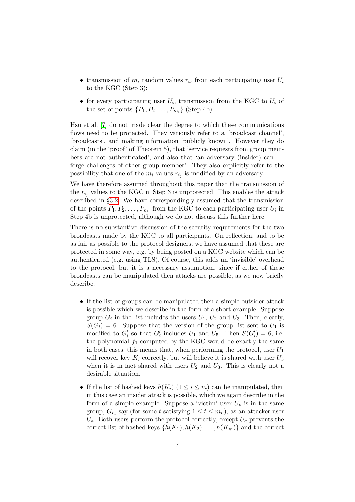- transmission of  $m_i$  random values  $r_{i_j}$  from each participating user  $U_i$ to the KGC (Step 3);
- for every participating user  $U_i$ , transmission from the KGC to  $U_i$  of the set of points  $\{P_1, P_2, \ldots, P_{m_i}\}$  (Step 4b).

Hsu et al. [\[7\]](#page-9-2) do not made clear the degree to which these communications flows need to be protected. They variously refer to a 'broadcast channel', 'broadcasts', and making information 'publicly known'. However they do claim (in the 'proof' of Theorem 5), that 'service requests from group members are not authenticated', and also that 'an adversary (insider) can . . . forge challenges of other group member'. They also explicitly refer to the possibility that one of the  $m_i$  values  $r_{i_j}$  is modified by an adversary.

We have therefore assumed throughout this paper that the transmission of the  $r_{i_j}$  values to the KGC in Step 3 is unprotected. This enables the attack described in §[3.2.](#page-4-1) We have correspondingly assumed that the transmission of the points  $P_1, P_2, \ldots, P_{m_i}$  from the KGC to each participating user  $U_i$  in Step 4b is unprotected, although we do not discuss this further here.

There is no substantive discussion of the security requirements for the two broadcasts made by the KGC to all participants. On reflection, and to be as fair as possible to the protocol designers, we have assumed that these are protected in some way, e.g. by being posted on a KGC website which can be authenticated (e.g. using TLS). Of course, this adds an 'invisible' overhead to the protocol, but it is a necessary assumption, since if either of these broadcasts can be manipulated then attacks are possible, as we now briefly describe.

- If the list of groups can be manipulated then a simple outsider attack is possible which we describe in the form of a short example. Suppose group  $G_i$  in the list includes the users  $U_1$ ,  $U_2$  and  $U_3$ . Then, clearly,  $S(G_i) = 6$ . Suppose that the version of the group list sent to  $U_1$  is modified to  $G_i'$  so that  $G_i'$  includes  $U_1$  and  $U_5$ . Then  $S(G_i') = 6$ , i.e. the polynomial  $f_1$  computed by the KGC would be exactly the same in both cases; this means that, when performing the protocol, user  $U_1$ will recover key  $K_i$  correctly, but will believe it is shared with user  $U_5$ when it is in fact shared with users  $U_2$  and  $U_3$ . This is clearly not a desirable situation.
- If the list of hashed keys  $h(K_i)$   $(1 \leq i \leq m)$  can be manipulated, then in this case an insider attack is possible, which we again describe in the form of a simple example. Suppose a 'victim' user  $U_v$  is in the same group,  $G_{v_t}$  say (for some t satisfying  $1 \le t \le m_v$ ), as an attacker user  $U_a$ . Both users perform the protocol correctly, except  $U_a$  prevents the correct list of hashed keys  $\{h(K_1), h(K_2), \ldots, h(K_m)\}\$  and the correct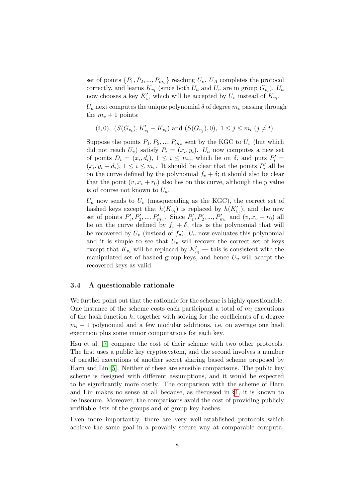set of points  $\{P_1, P_2, ..., P_{m_v}\}\$  reaching  $U_v$ .  $U_A$  completes the protocol correctly, and learns  $K_{v_t}$  (since both  $U_a$  and  $U_v$  are in group  $G_{v_t}$ ).  $U_a$ now chooses a key  $K'_{v_t}$  which will be accepted by  $U_v$  instead of  $K_{v_t}$ .

 $U_a$  next computes the unique polynomial  $\delta$  of degree  $m_v$  passing through the  $m_v + 1$  points:

$$
(i,0), (S(G_{v_t}), K'_{v_t} - K_{v_t})
$$
 and  $(S(G_{v_j}), 0), 1 \le j \le m_i (j \ne t).$ 

Suppose the points  $P_1, P_2, ..., P_{m_v}$  sent by the KGC to  $U_v$  (but which did not reach  $U_v$ ) satisfy  $P_i = (x_i, y_i)$ .  $U_a$  now computes a new set of points  $D_i = (x_i, d_i), 1 \le i \le m_v$ , which lie on  $\delta$ , and puts  $P'_i =$  $(x_i, y_i + d_i), 1 \leq i \leq m_v$ . It should be clear that the points  $P'_i$  all lie on the curve defined by the polynomial  $f_v + \delta$ ; it should also be clear that the point  $(v, x_v + r_0)$  also lies on this curve, although the y value is of course not known to  $U_a$ .

 $U_a$  now sends to  $U_v$  (masquerading as the KGC), the correct set of hashed keys except that  $h(K_{v_i})$  is replaced by  $h(K'_{v_i})$ , and the new set of points  $P'_1, P'_2, ..., P'_{m_v}$ . Since  $P'_1, P'_2, ..., P'_{m_v}$  and  $(v, x_v + r_0)$  all lie on the curve defined by  $f_v + \delta$ , this is the polynomial that will be recovered by  $U_v$  (instead of  $f_v$ ).  $U_v$  now evaluates this polynomial and it is simple to see that  $U_v$  will recover the correct set of keys except that  $K_{v_i}$  will be replaced by  $K'_{v_i}$  — this is consistent with the manipulated set of hashed group keys, and hence  $U_v$  will accept the recovered keys as valid.

### 3.4 A questionable rationale

We further point out that the rationale for the scheme is highly questionable. One instance of the scheme costs each participant a total of  $m<sub>i</sub>$  executions of the hash function  $h$ , together with solving for the coefficients of a degree  $m_i + 1$  polynomial and a few modular additions, i.e. on average one hash execution plus some minor computations for each key.

Hsu et al. [\[7\]](#page-9-2) compare the cost of their scheme with two other protocols. The first uses a public key cryptosystem, and the second involves a number of parallel executions of another secret sharing based scheme proposed by Harn and Lin [\[5\]](#page-9-1). Neither of these are sensible comparisons. The public key scheme is designed with different assumptions, and it would be expected to be significantly more costly. The comparison with the scheme of Harn and Lin makes no sense at all because, as discussed in §[1,](#page-0-0) it is known to be insecure. Moreover, the comparisons avoid the cost of providing publicly verifiable lists of the groups and of group key hashes.

Even more importantly, there are very well-established protocols which achieve the same goal in a provably secure way at comparable computa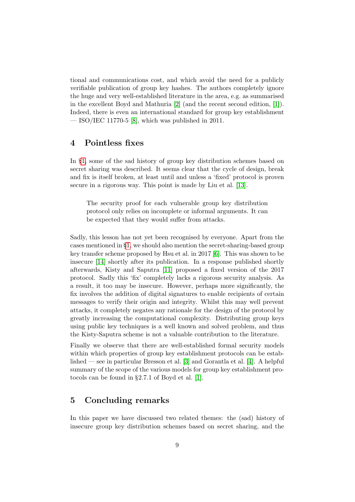tional and communications cost, and which avoid the need for a publicly verifiable publication of group key hashes. The authors completely ignore the huge and very well-established literature in the area, e.g. as summarised in the excellent Boyd and Mathuria [\[2\]](#page-9-0) (and the recent second edition, [\[1\]](#page-9-3)). Indeed, there is even an international standard for group key establishment  $-$  ISO/IEC 11770-5 [\[8\]](#page-10-7), which was published in 2011.

### <span id="page-8-0"></span>4 Pointless fixes

In §[1,](#page-0-0) some of the sad history of group key distribution schemes based on secret sharing was described. It seems clear that the cycle of design, break and fix is itself broken, at least until and unless a 'fixed' protocol is proven secure in a rigorous way. This point is made by Liu et al. [\[13\]](#page-10-1).

The security proof for each vulnerable group key distribution protocol only relies on incomplete or informal arguments. It can be expected that they would suffer from attacks.

Sadly, this lesson has not yet been recognised by everyone. Apart from the cases mentioned in §[1,](#page-0-0) we should also mention the secret-sharing-based group key transfer scheme proposed by Hsu et al. in 2017 [\[6\]](#page-9-4). This was shown to be insecure [\[14\]](#page-10-2) shortly after its publication. In a response published shortly afterwards, Kisty and Saputra [\[11\]](#page-10-8) proposed a fixed version of the 2017 protocol. Sadly this 'fix' completely lacks a rigorous security analysis. As a result, it too may be insecure. However, perhaps more significantly, the fix involves the addition of digital signatures to enable recipients of certain messages to verify their origin and integrity. Whilst this may well prevent attacks, it completely negates any rationale for the design of the protocol by greatly increasing the computational complexity. Distributing group keys using public key techniques is a well known and solved problem, and thus the Kisty-Saputra scheme is not a valuable contribution to the literature.

Finally we observe that there are well-established formal security models within which properties of group key establishment protocols can be established — see in particular Bresson et al. [\[3\]](#page-9-5) and Gorantla et al. [\[4\]](#page-9-6). A helpful summary of the scope of the various models for group key establishment protocols can be found in §2.7.1 of Boyd et al. [\[1\]](#page-9-3).

# <span id="page-8-1"></span>5 Concluding remarks

In this paper we have discussed two related themes: the (sad) history of insecure group key distribution schemes based on secret sharing, and the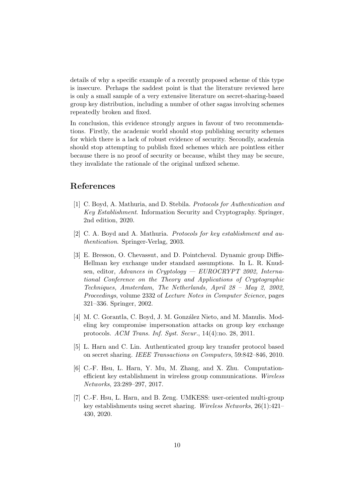details of why a specific example of a recently proposed scheme of this type is insecure. Perhaps the saddest point is that the literature reviewed here is only a small sample of a very extensive literature on secret-sharing-based group key distribution, including a number of other sagas involving schemes repeatedly broken and fixed.

In conclusion, this evidence strongly argues in favour of two recommendations. Firstly, the academic world should stop publishing security schemes for which there is a lack of robust evidence of security. Secondly, academia should stop attempting to publish fixed schemes which are pointless either because there is no proof of security or because, whilst they may be secure, they invalidate the rationale of the original unfixed scheme.

## References

- <span id="page-9-3"></span>[1] C. Boyd, A. Mathuria, and D. Stebila. Protocols for Authentication and Key Establishment. Information Security and Cryptography. Springer, 2nd edition, 2020.
- <span id="page-9-0"></span>[2] C. A. Boyd and A. Mathuria. Protocols for key establishment and authentication. Springer-Verlag, 2003.
- <span id="page-9-5"></span>[3] E. Bresson, O. Chevassut, and D. Pointcheval. Dynamic group Diffie-Hellman key exchange under standard assumptions. In L. R. Knudsen, editor, Advances in Cryptology — EUROCRYPT 2002, International Conference on the Theory and Applications of Cryptographic Techniques, Amsterdam, The Netherlands, April 28 – May 2, 2002, Proceedings, volume 2332 of Lecture Notes in Computer Science, pages 321–336. Springer, 2002.
- <span id="page-9-6"></span>[4] M. C. Gorantla, C. Boyd, J. M. González Nieto, and M. Manulis. Modeling key compromise impersonation attacks on group key exchange protocols. ACM Trans. Inf. Syst. Secur., 14(4):no. 28, 2011.
- <span id="page-9-1"></span>[5] L. Harn and C. Lin. Authenticated group key transfer protocol based on secret sharing. IEEE Transactions on Computers, 59:842–846, 2010.
- <span id="page-9-4"></span>[6] C.-F. Hsu, L. Harn, Y. Mu, M. Zhang, and X. Zhu. Computationefficient key establishment in wireless group communications. Wireless Networks, 23:289–297, 2017.
- <span id="page-9-2"></span>[7] C.-F. Hsu, L. Harn, and B. Zeng. UMKESS: user-oriented multi-group key establishments using secret sharing. Wireless Networks, 26(1):421– 430, 2020.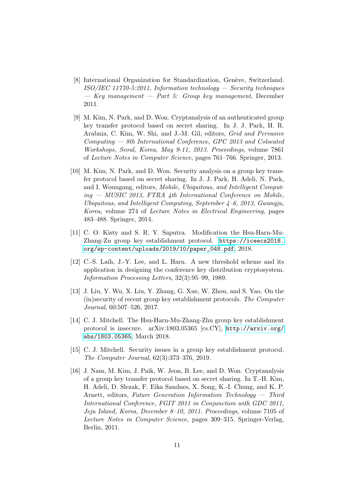- <span id="page-10-7"></span>[8] International Organization for Standardization, Genève, Switzerland.  $ISO/IEC 11770-5:2011$ , Information technology — Security techniques  $-$  Key management  $-$  Part 5: Group key management, December 2011.
- <span id="page-10-5"></span>[9] M. Kim, N. Park, and D. Won. Cryptanalysis of an authenticated group key transfer protocol based on secret sharing. In J. J. Park, H. R. Arabnia, C. Kim, W. Shi, and J.-M. Gil, editors, Grid and Pervasive Computing — 8th International Conference, GPC 2013 and Colocated Workshops, Seoul, Korea, May 9-11, 2013. Proceedings, volume 7861 of Lecture Notes in Computer Science, pages 761–766. Springer, 2013.
- <span id="page-10-6"></span>[10] M. Kim, N. Park, and D. Won. Security analysis on a group key transfer protocol based on secret sharing. In J. J. Park, H. Adeli, N. Park, and I. Woungang, editors, Mobile, Ubiquitous, and Intelligent Comput $ing - MUSIC 2013$ , FTRA 4th International Conference on Mobile, Ubiquitous, and Intelligent Computing, September 4–6, 2013, Gwangju, Korea, volume 274 of Lecture Notes in Electrical Engineering, pages 483–488. Springer, 2014.
- <span id="page-10-8"></span>[11] C. O. Kisty and S. R. Y. Saputra. Modification the Hsu-Harn-Mu-Zhang-Zu group key establishment protocol. [https://iceecs2018.](https://iceecs2018.org/wp-content/uploads/2019/10/paper_048.pdf) [org/wp-content/uploads/2019/10/paper\\_048.pdf](https://iceecs2018.org/wp-content/uploads/2019/10/paper_048.pdf), 2018.
- <span id="page-10-0"></span>[12] C.-S. Laih, J.-Y. Lee, and L. Harn. A new threshold scheme and its application in designing the conference key distribution cryptosystem. Information Processing Letters, 32(3):95–99, 1989.
- <span id="page-10-1"></span>[13] J. Liu, Y. Wu, X. Liu, Y. Zhang, G. Xue, W. Zhou, and S. Yao. On the (in)security of recent group key establishment protocols. The Computer Journal, 60:507–526, 2017.
- <span id="page-10-2"></span>[14] C. J. Mitchell. The Hsu-Harn-Mu-Zhang-Zhu group key establishment protocol is insecure. arXiv:1803.05365 [cs.CY], [http://arxiv.org/](http://arxiv.org/abs/1803.05365) [abs/1803.05365](http://arxiv.org/abs/1803.05365), March 2018.
- <span id="page-10-3"></span>[15] C. J. Mitchell. Security issues in a group key establishment protocol. The Computer Journal, 62(3):373–376, 2019.
- <span id="page-10-4"></span>[16] J. Nam, M. Kim, J. Paik, W. Jeon, B. Lee, and D. Won. Cryptanalysis of a group key transfer protocol based on secret sharing. In T.-H. Kim, H. Adeli, D. Slezak, F. Eika Sandnes, X. Song, K.-I. Chung, and K. P. Arnett, editors, Future Generation Information Technology — Third International Conference, FGIT 2011 in Conjunction with GDC 2011, Jeju Island, Korea, December 8–10, 2011. Proceedings, volume 7105 of Lecture Notes in Computer Science, pages 309–315. Springer-Verlag, Berlin, 2011.